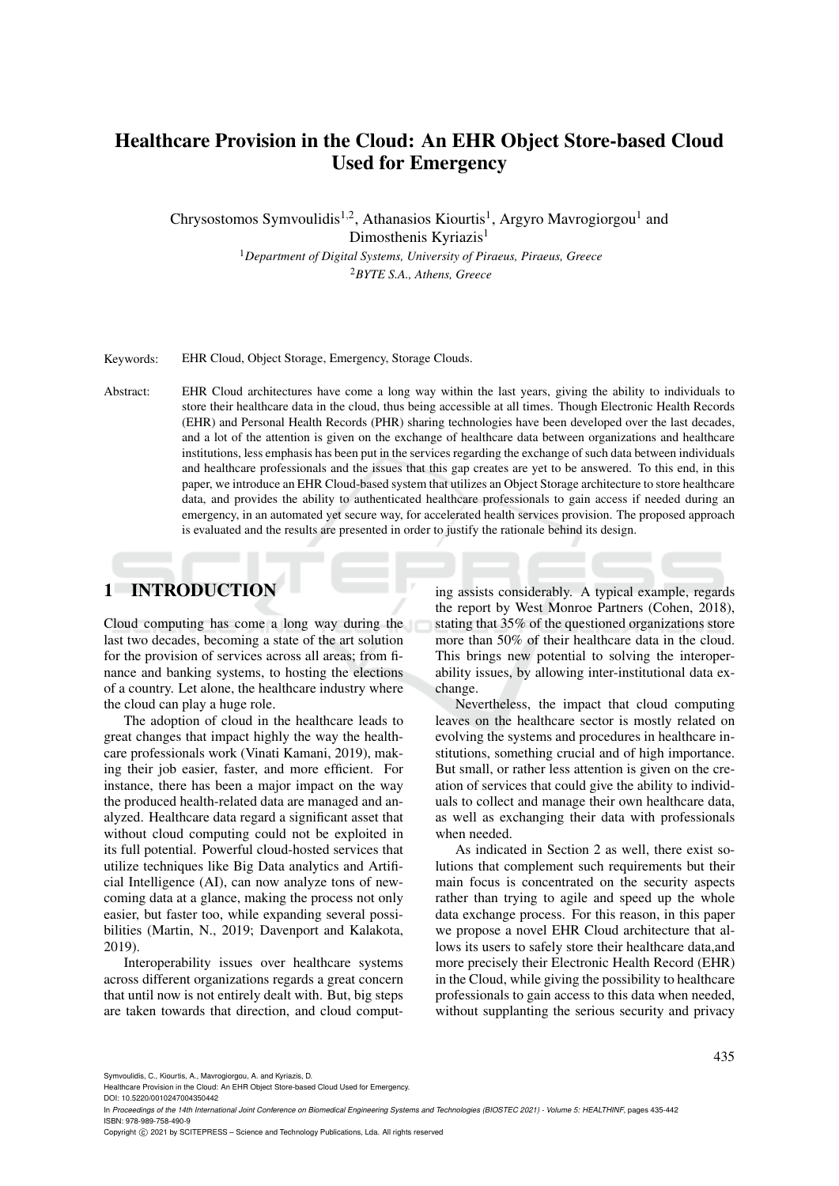# Healthcare Provision in the Cloud: An EHR Object Store-based Cloud Used for Emergency

Chrysostomos Symvoulidis<sup>1,2</sup>, Athanasios Kiourtis<sup>1</sup>, Argyro Mavrogiorgou<sup>1</sup> and Dimosthenis Kyriazis<sup>1</sup>

> <sup>1</sup>*Department of Digital Systems, University of Piraeus, Piraeus, Greece* <sup>2</sup>*BYTE S.A., Athens, Greece*

Keywords: EHR Cloud, Object Storage, Emergency, Storage Clouds.

Abstract: EHR Cloud architectures have come a long way within the last years, giving the ability to individuals to store their healthcare data in the cloud, thus being accessible at all times. Though Electronic Health Records (EHR) and Personal Health Records (PHR) sharing technologies have been developed over the last decades, and a lot of the attention is given on the exchange of healthcare data between organizations and healthcare institutions, less emphasis has been put in the services regarding the exchange of such data between individuals and healthcare professionals and the issues that this gap creates are yet to be answered. To this end, in this paper, we introduce an EHR Cloud-based system that utilizes an Object Storage architecture to store healthcare data, and provides the ability to authenticated healthcare professionals to gain access if needed during an emergency, in an automated yet secure way, for accelerated health services provision. The proposed approach is evaluated and the results are presented in order to justify the rationale behind its design.

## 1 INTRODUCTION

Cloud computing has come a long way during the last two decades, becoming a state of the art solution for the provision of services across all areas; from finance and banking systems, to hosting the elections of a country. Let alone, the healthcare industry where the cloud can play a huge role.

The adoption of cloud in the healthcare leads to great changes that impact highly the way the healthcare professionals work (Vinati Kamani, 2019), making their job easier, faster, and more efficient. For instance, there has been a major impact on the way the produced health-related data are managed and analyzed. Healthcare data regard a significant asset that without cloud computing could not be exploited in its full potential. Powerful cloud-hosted services that utilize techniques like Big Data analytics and Artificial Intelligence (AI), can now analyze tons of newcoming data at a glance, making the process not only easier, but faster too, while expanding several possibilities (Martin, N., 2019; Davenport and Kalakota, 2019).

Interoperability issues over healthcare systems across different organizations regards a great concern that until now is not entirely dealt with. But, big steps are taken towards that direction, and cloud computing assists considerably. A typical example, regards the report by West Monroe Partners (Cohen, 2018), stating that 35% of the questioned organizations store more than 50% of their healthcare data in the cloud. This brings new potential to solving the interoperability issues, by allowing inter-institutional data exchange.

Nevertheless, the impact that cloud computing leaves on the healthcare sector is mostly related on evolving the systems and procedures in healthcare institutions, something crucial and of high importance. But small, or rather less attention is given on the creation of services that could give the ability to individuals to collect and manage their own healthcare data, as well as exchanging their data with professionals when needed.

As indicated in Section 2 as well, there exist solutions that complement such requirements but their main focus is concentrated on the security aspects rather than trying to agile and speed up the whole data exchange process. For this reason, in this paper we propose a novel EHR Cloud architecture that allows its users to safely store their healthcare data,and more precisely their Electronic Health Record (EHR) in the Cloud, while giving the possibility to healthcare professionals to gain access to this data when needed, without supplanting the serious security and privacy

In *Proceedings of the 14th International Joint Conference on Biomedical Engineering Systems and Technologies (BIOSTEC 2021) - Volume 5: HEALTHINF*, pages 435-442 ISBN: 978-989-758-490-9

Copyright © 2021 by SCITEPRESS - Science and Technology Publications, Lda. All rights reserved

Symvoulidis, C., Kiourtis, A., Mavrogiorgou, A. and Kyriazis, D.

Healthcare Provision in the Cloud: An EHR Object Store-based Cloud Used for Emergency.

DOI: 10.5220/0010247004350442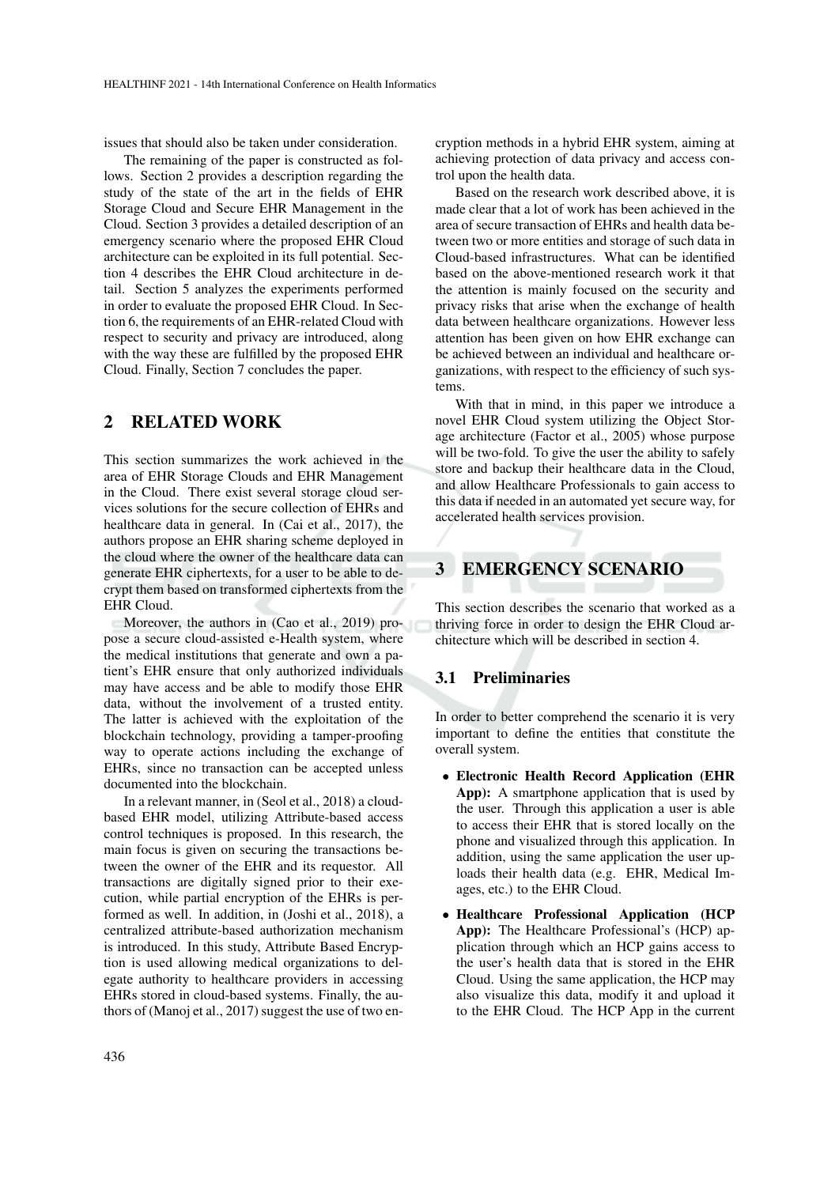issues that should also be taken under consideration.

The remaining of the paper is constructed as follows. Section 2 provides a description regarding the study of the state of the art in the fields of EHR Storage Cloud and Secure EHR Management in the Cloud. Section 3 provides a detailed description of an emergency scenario where the proposed EHR Cloud architecture can be exploited in its full potential. Section 4 describes the EHR Cloud architecture in detail. Section 5 analyzes the experiments performed in order to evaluate the proposed EHR Cloud. In Section 6, the requirements of an EHR-related Cloud with respect to security and privacy are introduced, along with the way these are fulfilled by the proposed EHR Cloud. Finally, Section 7 concludes the paper.

## 2 RELATED WORK

This section summarizes the work achieved in the area of EHR Storage Clouds and EHR Management in the Cloud. There exist several storage cloud services solutions for the secure collection of EHRs and healthcare data in general. In (Cai et al., 2017), the authors propose an EHR sharing scheme deployed in the cloud where the owner of the healthcare data can generate EHR ciphertexts, for a user to be able to decrypt them based on transformed ciphertexts from the EHR Cloud.

Moreover, the authors in (Cao et al., 2019) propose a secure cloud-assisted e-Health system, where the medical institutions that generate and own a patient's EHR ensure that only authorized individuals may have access and be able to modify those EHR data, without the involvement of a trusted entity. The latter is achieved with the exploitation of the blockchain technology, providing a tamper-proofing way to operate actions including the exchange of EHRs, since no transaction can be accepted unless documented into the blockchain.

In a relevant manner, in (Seol et al., 2018) a cloudbased EHR model, utilizing Attribute-based access control techniques is proposed. In this research, the main focus is given on securing the transactions between the owner of the EHR and its requestor. All transactions are digitally signed prior to their execution, while partial encryption of the EHRs is performed as well. In addition, in (Joshi et al., 2018), a centralized attribute-based authorization mechanism is introduced. In this study, Attribute Based Encryption is used allowing medical organizations to delegate authority to healthcare providers in accessing EHRs stored in cloud-based systems. Finally, the authors of (Manoj et al., 2017) suggest the use of two encryption methods in a hybrid EHR system, aiming at achieving protection of data privacy and access control upon the health data.

Based on the research work described above, it is made clear that a lot of work has been achieved in the area of secure transaction of EHRs and health data between two or more entities and storage of such data in Cloud-based infrastructures. What can be identified based on the above-mentioned research work it that the attention is mainly focused on the security and privacy risks that arise when the exchange of health data between healthcare organizations. However less attention has been given on how EHR exchange can be achieved between an individual and healthcare organizations, with respect to the efficiency of such systems.

With that in mind, in this paper we introduce a novel EHR Cloud system utilizing the Object Storage architecture (Factor et al., 2005) whose purpose will be two-fold. To give the user the ability to safely store and backup their healthcare data in the Cloud, and allow Healthcare Professionals to gain access to this data if needed in an automated yet secure way, for accelerated health services provision.

## 3 EMERGENCY SCENARIO

This section describes the scenario that worked as a thriving force in order to design the EHR Cloud architecture which will be described in section 4.

#### 3.1 Preliminaries

In order to better comprehend the scenario it is very important to define the entities that constitute the overall system.

- Electronic Health Record Application (EHR App): A smartphone application that is used by the user. Through this application a user is able to access their EHR that is stored locally on the phone and visualized through this application. In addition, using the same application the user uploads their health data (e.g. EHR, Medical Images, etc.) to the EHR Cloud.
- Healthcare Professional Application (HCP App): The Healthcare Professional's (HCP) application through which an HCP gains access to the user's health data that is stored in the EHR Cloud. Using the same application, the HCP may also visualize this data, modify it and upload it to the EHR Cloud. The HCP App in the current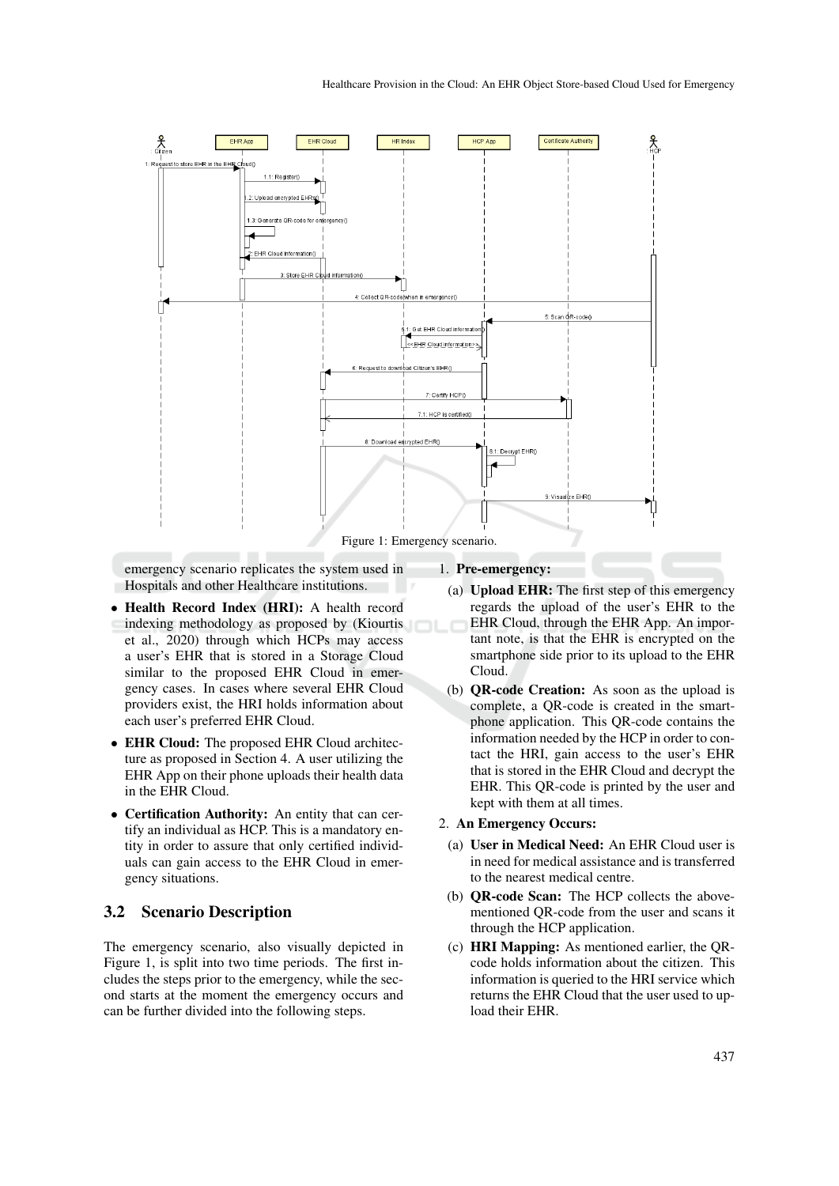

emergency scenario replicates the system used in Hospitals and other Healthcare institutions.

- Health Record Index (HRI): A health record indexing methodology as proposed by (Kiourtis et al., 2020) through which HCPs may access a user's EHR that is stored in a Storage Cloud similar to the proposed EHR Cloud in emergency cases. In cases where several EHR Cloud providers exist, the HRI holds information about each user's preferred EHR Cloud.
- EHR Cloud: The proposed EHR Cloud architecture as proposed in Section 4. A user utilizing the EHR App on their phone uploads their health data in the EHR Cloud.
- Certification Authority: An entity that can certify an individual as HCP. This is a mandatory entity in order to assure that only certified individuals can gain access to the EHR Cloud in emergency situations.

#### 3.2 Scenario Description

The emergency scenario, also visually depicted in Figure 1, is split into two time periods. The first includes the steps prior to the emergency, while the second starts at the moment the emergency occurs and can be further divided into the following steps.

### 1. Pre-emergency:

- (a) Upload EHR: The first step of this emergency regards the upload of the user's EHR to the EHR Cloud, through the EHR App. An important note, is that the EHR is encrypted on the smartphone side prior to its upload to the EHR Cloud.
- (b) QR-code Creation: As soon as the upload is complete, a QR-code is created in the smartphone application. This QR-code contains the information needed by the HCP in order to contact the HRI, gain access to the user's EHR that is stored in the EHR Cloud and decrypt the EHR. This QR-code is printed by the user and kept with them at all times.

#### 2. An Emergency Occurs:

- (a) User in Medical Need: An EHR Cloud user is in need for medical assistance and is transferred to the nearest medical centre.
- (b) QR-code Scan: The HCP collects the abovementioned QR-code from the user and scans it through the HCP application.
- (c) HRI Mapping: As mentioned earlier, the QRcode holds information about the citizen. This information is queried to the HRI service which returns the EHR Cloud that the user used to upload their EHR.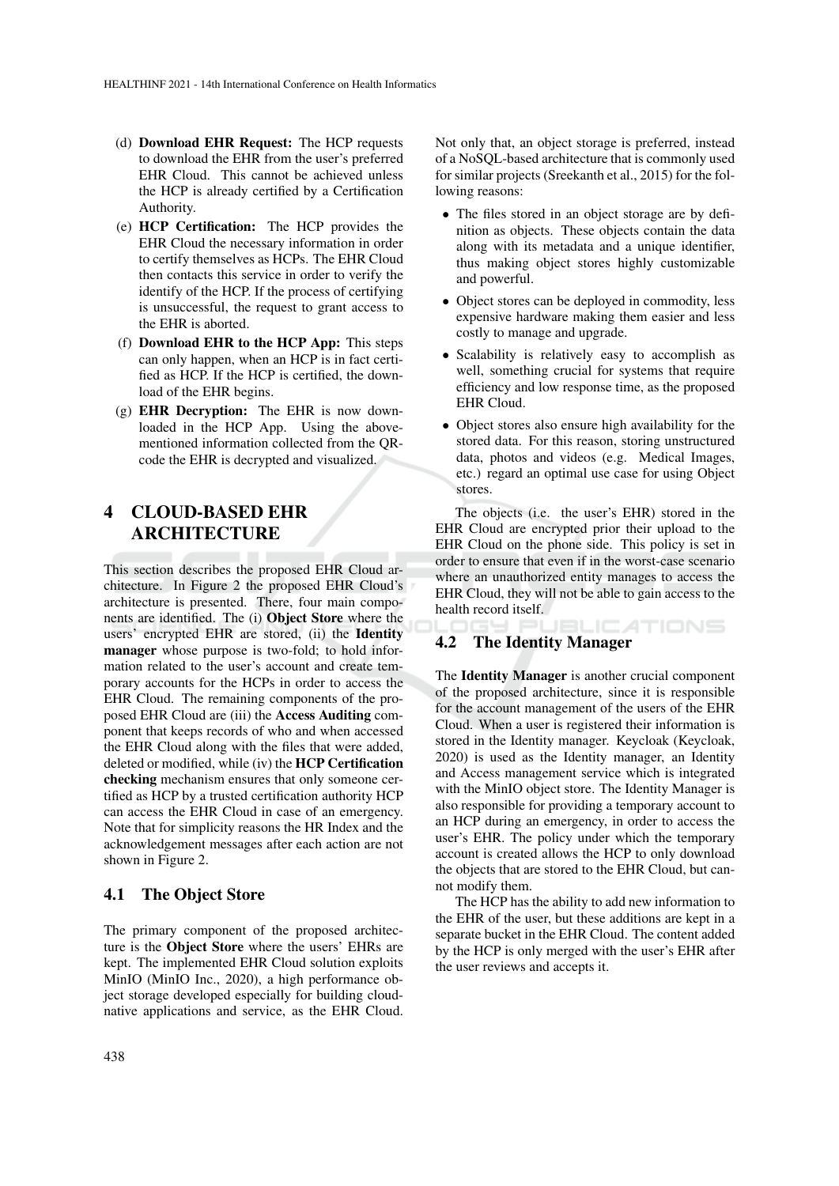- (d) Download EHR Request: The HCP requests to download the EHR from the user's preferred EHR Cloud. This cannot be achieved unless the HCP is already certified by a Certification Authority.
- (e) HCP Certification: The HCP provides the EHR Cloud the necessary information in order to certify themselves as HCPs. The EHR Cloud then contacts this service in order to verify the identify of the HCP. If the process of certifying is unsuccessful, the request to grant access to the EHR is aborted.
- (f) Download EHR to the HCP App: This steps can only happen, when an HCP is in fact certified as HCP. If the HCP is certified, the download of the EHR begins.
- (g) EHR Decryption: The EHR is now downloaded in the HCP App. Using the abovementioned information collected from the QRcode the EHR is decrypted and visualized.

## 4 CLOUD-BASED EHR ARCHITECTURE

This section describes the proposed EHR Cloud architecture. In Figure 2 the proposed EHR Cloud's architecture is presented. There, four main components are identified. The (i) Object Store where the users' encrypted EHR are stored, (ii) the Identity manager whose purpose is two-fold; to hold information related to the user's account and create temporary accounts for the HCPs in order to access the EHR Cloud. The remaining components of the proposed EHR Cloud are (iii) the Access Auditing component that keeps records of who and when accessed the EHR Cloud along with the files that were added, deleted or modified, while (iv) the HCP Certification checking mechanism ensures that only someone certified as HCP by a trusted certification authority HCP can access the EHR Cloud in case of an emergency. Note that for simplicity reasons the HR Index and the acknowledgement messages after each action are not shown in Figure 2.

#### 4.1 The Object Store

The primary component of the proposed architecture is the Object Store where the users' EHRs are kept. The implemented EHR Cloud solution exploits MinIO (MinIO Inc., 2020), a high performance object storage developed especially for building cloudnative applications and service, as the EHR Cloud. Not only that, an object storage is preferred, instead of a NoSQL-based architecture that is commonly used for similar projects (Sreekanth et al., 2015) for the following reasons:

- The files stored in an object storage are by definition as objects. These objects contain the data along with its metadata and a unique identifier, thus making object stores highly customizable and powerful.
- Object stores can be deployed in commodity, less expensive hardware making them easier and less costly to manage and upgrade.
- Scalability is relatively easy to accomplish as well, something crucial for systems that require efficiency and low response time, as the proposed EHR Cloud.
- Object stores also ensure high availability for the stored data. For this reason, storing unstructured data, photos and videos (e.g. Medical Images, etc.) regard an optimal use case for using Object stores.

The objects (i.e. the user's EHR) stored in the EHR Cloud are encrypted prior their upload to the EHR Cloud on the phone side. This policy is set in order to ensure that even if in the worst-case scenario where an unauthorized entity manages to access the EHR Cloud, they will not be able to gain access to the health record itself.

#### ATIONS 4.2 The Identity Manager

The Identity Manager is another crucial component of the proposed architecture, since it is responsible for the account management of the users of the EHR Cloud. When a user is registered their information is stored in the Identity manager. Keycloak (Keycloak, 2020) is used as the Identity manager, an Identity and Access management service which is integrated with the MinIO object store. The Identity Manager is also responsible for providing a temporary account to an HCP during an emergency, in order to access the user's EHR. The policy under which the temporary account is created allows the HCP to only download the objects that are stored to the EHR Cloud, but cannot modify them.

The HCP has the ability to add new information to the EHR of the user, but these additions are kept in a separate bucket in the EHR Cloud. The content added by the HCP is only merged with the user's EHR after the user reviews and accepts it.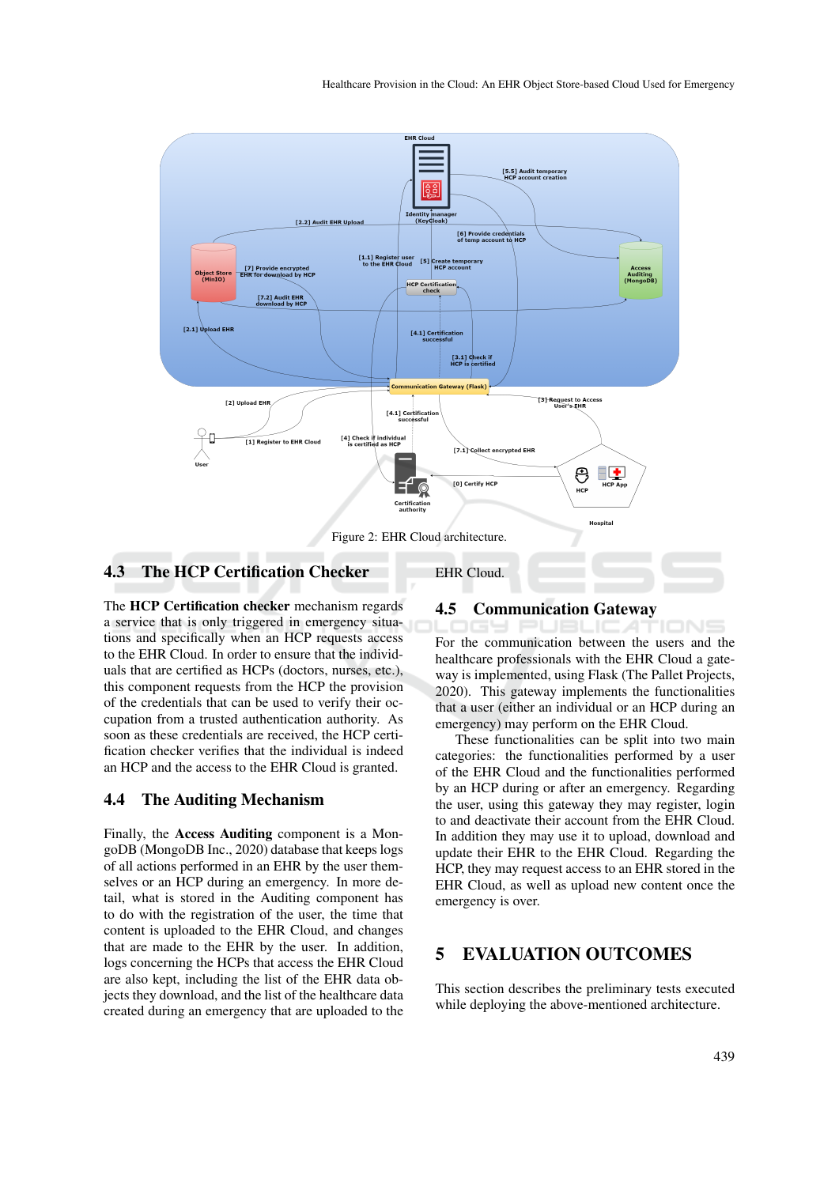

EHR Cloud.

#### 4.3 The HCP Certification Checker

The HCP Certification checker mechanism regards a service that is only triggered in emergency situations and specifically when an HCP requests access to the EHR Cloud. In order to ensure that the individuals that are certified as HCPs (doctors, nurses, etc.), this component requests from the HCP the provision of the credentials that can be used to verify their occupation from a trusted authentication authority. As soon as these credentials are received, the HCP certification checker verifies that the individual is indeed an HCP and the access to the EHR Cloud is granted.

#### 4.4 The Auditing Mechanism

Finally, the Access Auditing component is a MongoDB (MongoDB Inc., 2020) database that keeps logs of all actions performed in an EHR by the user themselves or an HCP during an emergency. In more detail, what is stored in the Auditing component has to do with the registration of the user, the time that content is uploaded to the EHR Cloud, and changes that are made to the EHR by the user. In addition, logs concerning the HCPs that access the EHR Cloud are also kept, including the list of the EHR data objects they download, and the list of the healthcare data created during an emergency that are uploaded to the

#### 4.5 Communication Gateway

For the communication between the users and the healthcare professionals with the EHR Cloud a gateway is implemented, using Flask (The Pallet Projects, 2020). This gateway implements the functionalities that a user (either an individual or an HCP during an emergency) may perform on the EHR Cloud.

These functionalities can be split into two main categories: the functionalities performed by a user of the EHR Cloud and the functionalities performed by an HCP during or after an emergency. Regarding the user, using this gateway they may register, login to and deactivate their account from the EHR Cloud. In addition they may use it to upload, download and update their EHR to the EHR Cloud. Regarding the HCP, they may request access to an EHR stored in the EHR Cloud, as well as upload new content once the emergency is over.

### 5 EVALUATION OUTCOMES

This section describes the preliminary tests executed while deploying the above-mentioned architecture.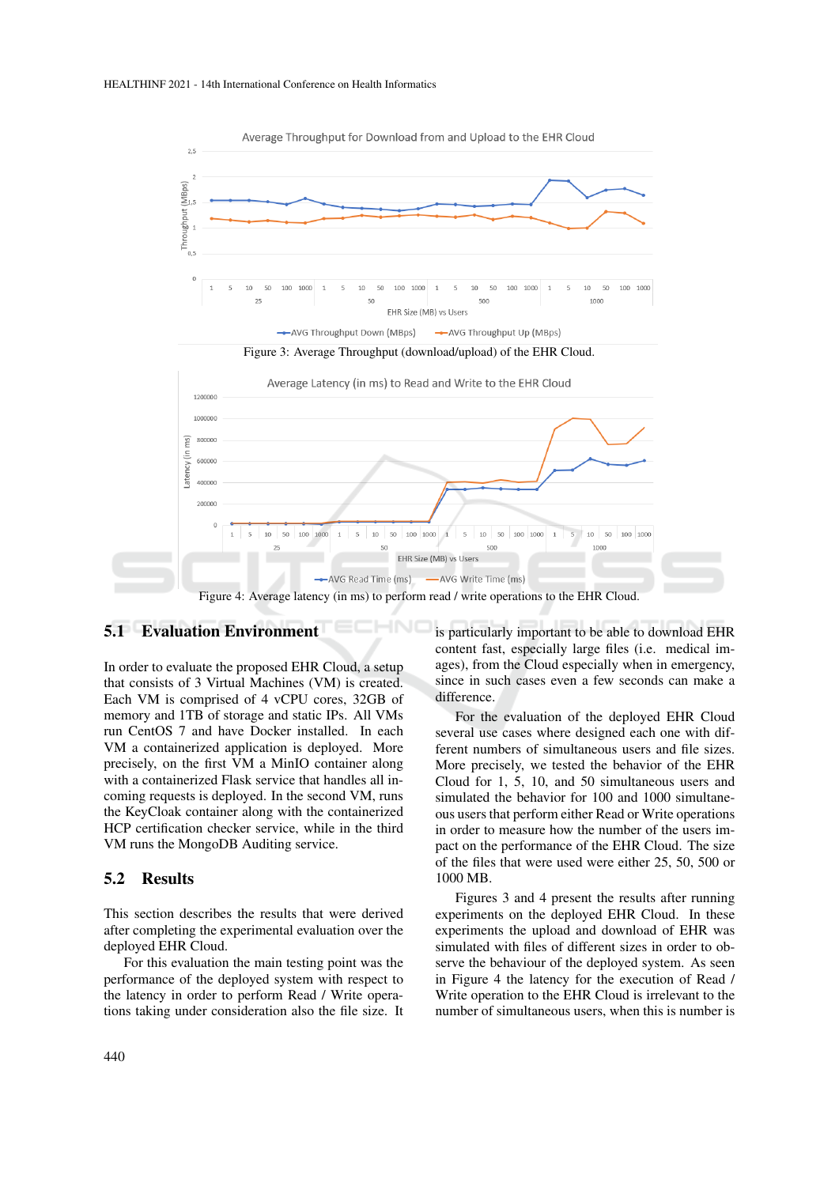

Average Throughput for Download from and Upload to the EHR Cloud

### 5.1 Evaluation Environment

In order to evaluate the proposed EHR Cloud, a setup that consists of 3 Virtual Machines (VM) is created. Each VM is comprised of 4 vCPU cores, 32GB of memory and 1TB of storage and static IPs. All VMs run CentOS 7 and have Docker installed. In each VM a containerized application is deployed. More precisely, on the first VM a MinIO container along with a containerized Flask service that handles all incoming requests is deployed. In the second VM, runs the KeyCloak container along with the containerized HCP certification checker service, while in the third VM runs the MongoDB Auditing service.

#### 5.2 Results

This section describes the results that were derived after completing the experimental evaluation over the deployed EHR Cloud.

For this evaluation the main testing point was the performance of the deployed system with respect to the latency in order to perform Read / Write operations taking under consideration also the file size. It is particularly important to be able to download EHR content fast, especially large files (i.e. medical images), from the Cloud especially when in emergency, since in such cases even a few seconds can make a difference.

For the evaluation of the deployed EHR Cloud several use cases where designed each one with different numbers of simultaneous users and file sizes. More precisely, we tested the behavior of the EHR Cloud for 1, 5, 10, and 50 simultaneous users and simulated the behavior for 100 and 1000 simultaneous users that perform either Read or Write operations in order to measure how the number of the users impact on the performance of the EHR Cloud. The size of the files that were used were either 25, 50, 500 or 1000 MB.

Figures 3 and 4 present the results after running experiments on the deployed EHR Cloud. In these experiments the upload and download of EHR was simulated with files of different sizes in order to observe the behaviour of the deployed system. As seen in Figure 4 the latency for the execution of Read / Write operation to the EHR Cloud is irrelevant to the number of simultaneous users, when this is number is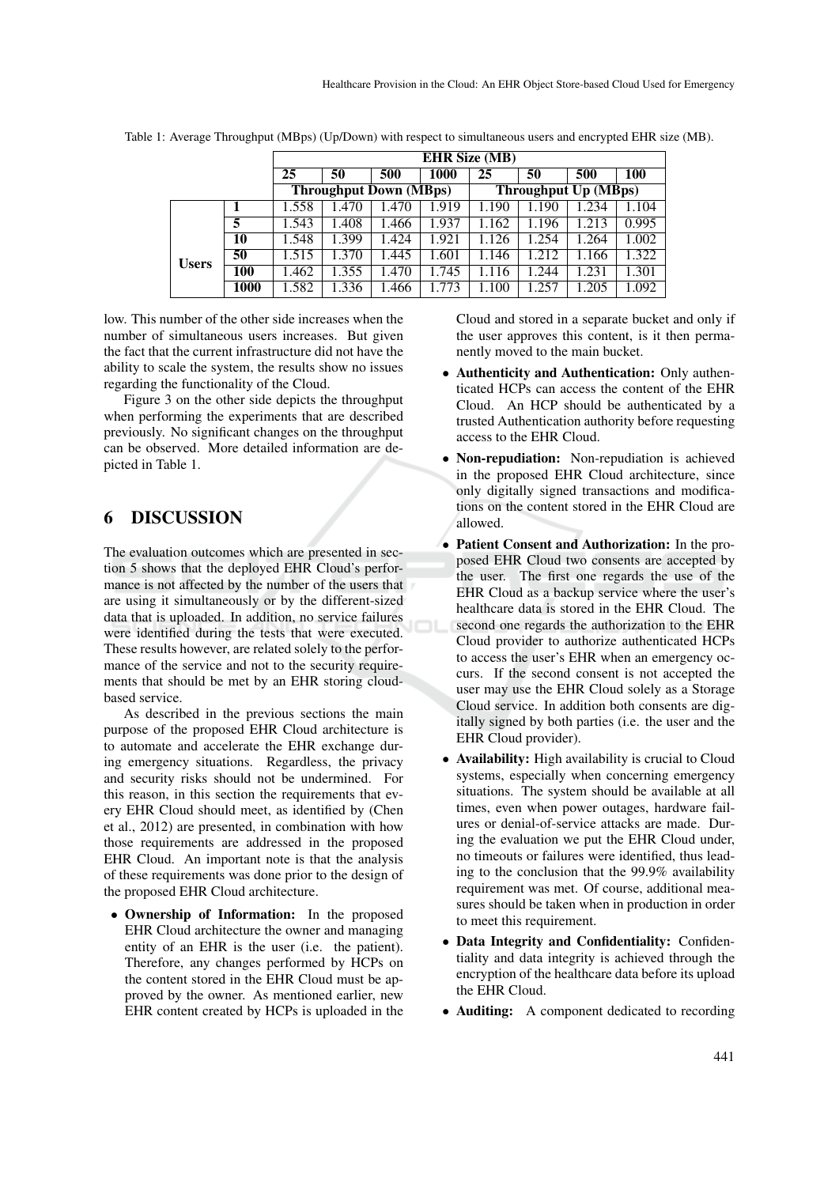|              |      | <b>EHR Size (MB)</b>          |       |       |       |                      |      |       |       |
|--------------|------|-------------------------------|-------|-------|-------|----------------------|------|-------|-------|
|              |      | 25                            | 50    | 500   | 1000  | 25                   | 50   | 500   | 100   |
|              |      | <b>Throughput Down (MBps)</b> |       |       |       | Throughput Up (MBps) |      |       |       |
|              |      | 1.558                         | 1.470 | .470  | 1.919 | 1.190                | .190 | 1.234 | 1.104 |
|              | 5    | 1.543                         | .408  | .466  | 1.937 | 1.162                | .196 | .213  | 0.995 |
| <b>Users</b> | 10   | 1.548                         | 1.399 | 1.424 | 1.921 | 1.126                | .254 | 1.264 | 1.002 |
|              | 50   | .515                          | 1.370 | 1.445 | 1.601 | 1.146                | .212 | 1.166 | 1.322 |
|              | 100  | .462                          | .355  | .470  | 1.745 | .116                 | .244 | 1.231 | 1.301 |
|              | 1000 | .582                          | .336  | .466  | 1.773 | .100                 | .257 | 1.205 | 1.092 |

Table 1: Average Throughput (MBps) (Up/Down) with respect to simultaneous users and encrypted EHR size (MB).

low. This number of the other side increases when the number of simultaneous users increases. But given the fact that the current infrastructure did not have the ability to scale the system, the results show no issues regarding the functionality of the Cloud.

Figure 3 on the other side depicts the throughput when performing the experiments that are described previously. No significant changes on the throughput can be observed. More detailed information are depicted in Table 1.

### 6 DISCUSSION

The evaluation outcomes which are presented in section 5 shows that the deployed EHR Cloud's performance is not affected by the number of the users that are using it simultaneously or by the different-sized data that is uploaded. In addition, no service failures were identified during the tests that were executed. These results however, are related solely to the performance of the service and not to the security requirements that should be met by an EHR storing cloudbased service.

As described in the previous sections the main purpose of the proposed EHR Cloud architecture is to automate and accelerate the EHR exchange during emergency situations. Regardless, the privacy and security risks should not be undermined. For this reason, in this section the requirements that every EHR Cloud should meet, as identified by (Chen et al., 2012) are presented, in combination with how those requirements are addressed in the proposed EHR Cloud. An important note is that the analysis of these requirements was done prior to the design of the proposed EHR Cloud architecture.

• Ownership of Information: In the proposed EHR Cloud architecture the owner and managing entity of an EHR is the user (i.e. the patient). Therefore, any changes performed by HCPs on the content stored in the EHR Cloud must be approved by the owner. As mentioned earlier, new EHR content created by HCPs is uploaded in the Cloud and stored in a separate bucket and only if the user approves this content, is it then permanently moved to the main bucket.

- Authenticity and Authentication: Only authenticated HCPs can access the content of the EHR Cloud. An HCP should be authenticated by a trusted Authentication authority before requesting access to the EHR Cloud.
- Non-repudiation: Non-repudiation is achieved in the proposed EHR Cloud architecture, since only digitally signed transactions and modifications on the content stored in the EHR Cloud are allowed.
- Patient Consent and Authorization: In the proposed EHR Cloud two consents are accepted by the user. The first one regards the use of the EHR Cloud as a backup service where the user's healthcare data is stored in the EHR Cloud. The second one regards the authorization to the EHR Cloud provider to authorize authenticated HCPs to access the user's EHR when an emergency occurs. If the second consent is not accepted the user may use the EHR Cloud solely as a Storage Cloud service. In addition both consents are digitally signed by both parties (i.e. the user and the EHR Cloud provider).
- Availability: High availability is crucial to Cloud systems, especially when concerning emergency situations. The system should be available at all times, even when power outages, hardware failures or denial-of-service attacks are made. During the evaluation we put the EHR Cloud under, no timeouts or failures were identified, thus leading to the conclusion that the 99.9% availability requirement was met. Of course, additional measures should be taken when in production in order to meet this requirement.
- Data Integrity and Confidentiality: Confidentiality and data integrity is achieved through the encryption of the healthcare data before its upload the EHR Cloud.
- **Auditing:** A component dedicated to recording